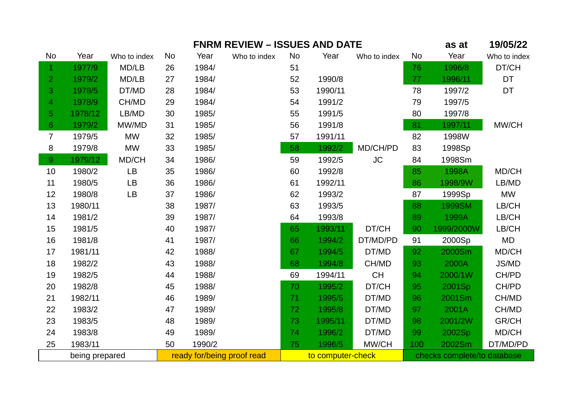|                | <b>FNRM REVIEW - ISSUES AND DATE</b> |              |                            |        |              |                   |         |                             |     | as at      | 19/05/22     |
|----------------|--------------------------------------|--------------|----------------------------|--------|--------------|-------------------|---------|-----------------------------|-----|------------|--------------|
| No             | Year                                 | Who to index | No                         | Year   | Who to index | No                | Year    | Who to index                | No  | Year       | Who to index |
| 1              | 1977/9                               | MD/LB        | 26                         | 1984/  |              | 51                |         |                             | 76  | 1996/8     | DT/CH        |
| $\overline{2}$ | 1979/2                               | MD/LB        | 27                         | 1984/  |              | 52                | 1990/8  |                             | 77  | 1996/11    | <b>DT</b>    |
| 3              | 1978/5                               | DT/MD        | 28                         | 1984/  |              | 53                | 1990/11 |                             | 78  | 1997/2     | <b>DT</b>    |
| 4              | 1978/9                               | CH/MD        | 29                         | 1984/  |              | 54                | 1991/2  |                             | 79  | 1997/5     |              |
| 5              | 1978/12                              | LB/MD        | 30                         | 1985/  |              | 55                | 1991/5  |                             | 80  | 1997/8     |              |
| $6\phantom{1}$ | 1979/2                               | MW/MD        | 31                         | 1985/  |              | 56                | 1991/8  |                             | 81  | 1997/11    | MW/CH        |
| $\overline{7}$ | 1979/5                               | <b>MW</b>    | 32                         | 1985/  |              | 57                | 1991/11 |                             | 82  | 1998W      |              |
| 8              | 1979/8                               | <b>MW</b>    | 33                         | 1985/  |              | 58                | 1992/2  | MD/CH/PD                    | 83  | 1998Sp     |              |
| 9              | 1979/12                              | MD/CH        | 34                         | 1986/  |              | 59                | 1992/5  | <b>JC</b>                   | 84  | 1998Sm     |              |
| 10             | 1980/2                               | <b>LB</b>    | 35                         | 1986/  |              | 60                | 1992/8  |                             | 85  | 1998A      | MD/CH        |
| $11\,$         | 1980/5                               | <b>LB</b>    | 36                         | 1986/  |              | 61                | 1992/11 |                             | 86  | 1998/9W    | LB/MD        |
| 12             | 1980/8                               | LB           | 37                         | 1986/  |              | 62                | 1993/2  |                             | 87  | 1999Sp     | <b>MW</b>    |
| 13             | 1980/11                              |              | 38                         | 1987/  |              | 63                | 1993/5  |                             | 88  | 1999SM     | LB/CH        |
| 14             | 1981/2                               |              | 39                         | 1987/  |              | 64                | 1993/8  |                             | 89  | 1999A      | LB/CH        |
| 15             | 1981/5                               |              | 40                         | 1987/  |              | 65                | 1993/11 | DT/CH                       | 90  | 1999/2000W | LB/CH        |
| 16             | 1981/8                               |              | 41                         | 1987/  |              | 66                | 1994/2  | DT/MD/PD                    | 91  | 2000Sp     | <b>MD</b>    |
| 17             | 1981/11                              |              | 42                         | 1988/  |              | 67                | 1994/5  | DT/MD                       | 92  | 2000Sm     | MD/CH        |
| 18             | 1982/2                               |              | 43                         | 1988/  |              | 68                | 1994/8  | CH/MD                       | 93  | 2000A      | JS/MD        |
| 19             | 1982/5                               |              | 44                         | 1988/  |              | 69                | 1994/11 | CH                          | 94  | 2000/1W    | CH/PD        |
| 20             | 1982/8                               |              | 45                         | 1988/  |              | 70                | 1995/2  | DT/CH                       | 95  | 2001Sp     | CH/PD        |
| 21             | 1982/11                              |              | 46                         | 1989/  |              | 71                | 1995/5  | DT/MD                       | 96  | 2001Sm     | CH/MD        |
| 22             | 1983/2                               |              | 47                         | 1989/  |              | 72                | 1995/8  | DT/MD                       | 97  | 2001A      | CH/MD        |
| 23             | 1983/5                               |              | 48                         | 1989/  |              | 73                | 1995/11 | DT/MD                       | 98  | 2001/2W    | GR/CH        |
| 24             | 1983/8                               |              | 49                         | 1989/  |              | 74                | 1996/2  | DT/MD                       | 99  | 2002Sp     | MD/CH        |
| 25             | 1983/11                              |              | 50                         | 1990/2 |              | 75                | 1996/5  | MW/CH                       | 100 | 2002Sm     | DT/MD/PD     |
| being prepared |                                      |              | ready for/being proof read |        |              | to computer-check |         | checks complete/to database |     |            |              |